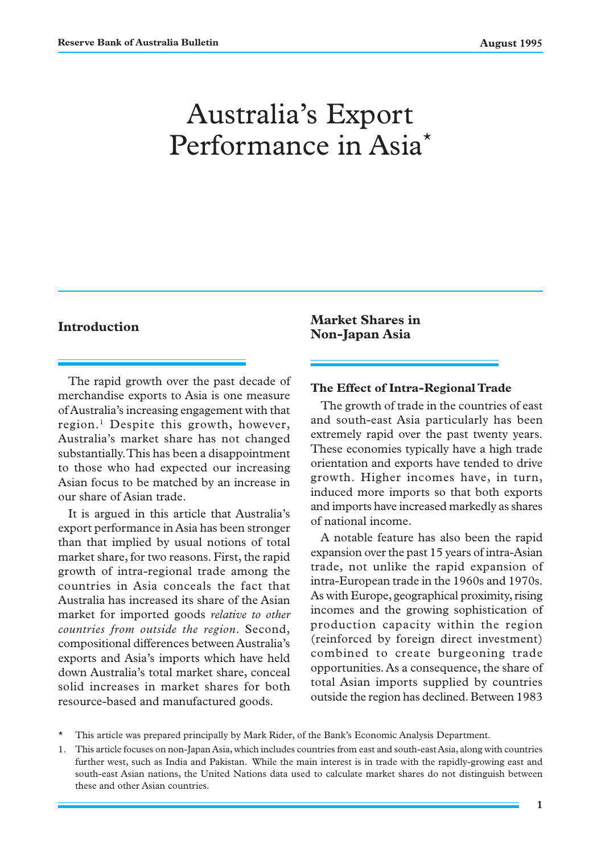# Australia's Export Performance in Asia\*

## **Introduction**

The rapid growth over the past decade of merchandise exports to Asia is one measure of Australia's increasing engagement with that region.<sup>1</sup> Despite this growth, however, Australia's market share has not changed substantially. This has been a disappointment to those who had expected our increasing Asian focus to be matched by an increase in our share of Asian trade.

It is argued in this article that Australia's export performance in Asia has been stronger than that implied by usual notions of total market share, for two reasons. First, the rapid growth of intra-regional trade among the countries in Asia conceals the fact that Australia has increased its share of the Asian market for imported goods *relative to other countries from outside the region*. Second, compositional differences between Australia's exports and Asia's imports which have held down Australia's total market share, conceal solid increases in market shares for both resource-based and manufactured goods.

**Market Shares in Non-Japan Asia**

### **The Effect of Intra-Regional Trade**

The growth of trade in the countries of east and south-east Asia particularly has been extremely rapid over the past twenty years. These economies typically have a high trade orientation and exports have tended to drive growth. Higher incomes have, in turn, induced more imports so that both exports and imports have increased markedly as shares of national income.

A notable feature has also been the rapid expansion over the past 15 years of intra-Asian trade, not unlike the rapid expansion of intra-European trade in the 1960s and 1970s. As with Europe, geographical proximity, rising incomes and the growing sophistication of production capacity within the region (reinforced by foreign direct investment) combined to create burgeoning trade opportunities. As a consequence, the share of total Asian imports supplied by countries outside the region has declined. Between 1983

- \* This article was prepared principally by Mark Rider, of the Bank's Economic Analysis Department.
- 1. This article focuses on non-Japan Asia, which includes countries from east and south-east Asia, along with countries further west, such as India and Pakistan. While the main interest is in trade with the rapidly-growing east and south-east Asian nations, the United Nations data used to calculate market shares do not distinguish between these and other Asian countries.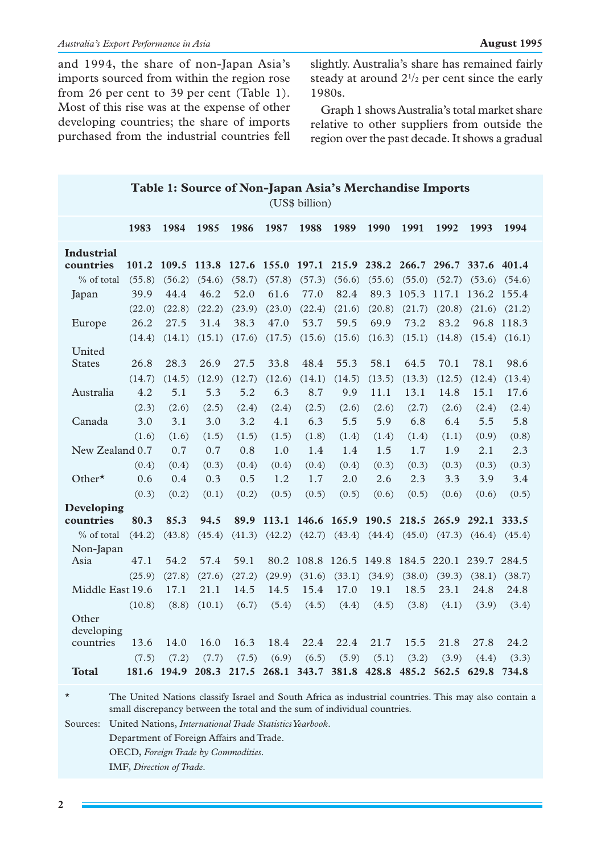and 1994, the share of non-Japan Asia's imports sourced from within the region rose from 26 per cent to 39 per cent (Table 1). Most of this rise was at the expense of other developing countries; the share of imports purchased from the industrial countries fell slightly. Australia's share has remained fairly steady at around  $2^{1/2}$  per cent since the early 1980s.

Graph 1 shows Australia's total market share relative to other suppliers from outside the region over the past decade. It shows a gradual

|                     | (US\$ billion) |                |                                                 |        |                |                |                                                 |                            |                |                   |                            |            |
|---------------------|----------------|----------------|-------------------------------------------------|--------|----------------|----------------|-------------------------------------------------|----------------------------|----------------|-------------------|----------------------------|------------|
|                     | 1983           | 1984           | 1985                                            | 1986   | 1987           | 1988           | 1989                                            | 1990                       | 1991           | 1992              | 1993                       | 1994       |
| <b>Industrial</b>   |                |                |                                                 |        |                |                |                                                 |                            |                |                   |                            |            |
| countries           | 101.2          | 109.5          | 113.8                                           | 127.6  | 155.0          | 197.1          | 215.9                                           | 238.2 266.7                |                |                   | 296.7 337.6 401.4          |            |
| % of total          | (55.8)         | (56.2)         | (54.6)                                          | (58.7) | (57.8)         | (57.3)         | (56.6)                                          | (55.6)                     | (55.0)         | (52.7)            | (53.6)                     | (54.6)     |
| Japan               | 39.9           | 44.4           | 46.2                                            | 52.0   | 61.6           | 77.0           | 82.4                                            |                            | 89.3 105.3     | 117.1 136.2 155.4 |                            |            |
|                     | (22.0)         | (22.8)         | (22.2)                                          | (23.9) | (23.0)         | (22.4)         | (21.6)                                          | (20.8)                     | (21.7)         |                   | $(20.8)$ $(21.6)$ $(21.2)$ |            |
| Europe              | 26.2           | 27.5           | 31.4                                            | 38.3   | 47.0           | 53.7           | 59.5                                            | 69.9                       | 73.2           | 83.2              |                            | 96.8 118.3 |
|                     | (14.4)         | (14.1)         | (15.1)                                          | (17.6) | (17.5)         | (15.6)         | (15.6)                                          | (16.3)                     | (15.1)         | (14.8)            | (15.4)                     | (16.1)     |
| United              |                |                |                                                 |        |                |                |                                                 |                            |                |                   |                            |            |
| <b>States</b>       | 26.8           | 28.3           | 26.9                                            | 27.5   | 33.8           | 48.4           | 55.3                                            | 58.1                       | 64.5           | 70.1              | 78.1                       | 98.6       |
|                     | (14.7)         | (14.5)         | (12.9)                                          | (12.7) | (12.6)         | (14.1)         | (14.5)                                          | (13.5)                     | (13.3)         | (12.5)            | (12.4)                     | (13.4)     |
| Australia           | 4.2            | 5.1            | 5.3                                             | 5.2    | 6.3            | 8.7            | 9.9                                             | 11.1                       | 13.1           | 14.8              | 15.1                       | 17.6       |
|                     | (2.3)          | (2.6)          | (2.5)                                           | (2.4)  | (2.4)          | (2.5)          | (2.6)                                           | (2.6)                      | (2.7)          | (2.6)             | (2.4)                      | (2.4)      |
| Canada              | 3.0            | 3.1            | 3.0                                             | 3.2    | 4.1            | 6.3            | 5.5                                             | 5.9                        | 6.8            | 6.4               | 5.5                        | 5.8        |
|                     | (1.6)          | (1.6)          | (1.5)                                           | (1.5)  | (1.5)          | (1.8)          | (1.4)                                           | (1.4)                      | (1.4)          | (1.1)             | (0.9)                      | (0.8)      |
| New Zealand 0.7     |                | 0.7            | 0.7                                             | 0.8    | 1.0            | 1.4            | 1.4                                             | 1.5                        | 1.7            | 1.9               | 2.1                        | 2.3        |
|                     | (0.4)          | (0.4)          | (0.3)                                           | (0.4)  | (0.4)          | (0.4)          | (0.4)                                           | (0.3)                      | (0.3)          | (0.3)             | (0.3)                      | (0.3)      |
| Other $\star$       | 0.6            | 0.4            | 0.3                                             | 0.5    | 1.2            | 1.7            | 2.0                                             | 2.6                        | 2.3            | 3.3               | 3.9                        | 3.4        |
|                     | (0.3)          | (0.2)          | (0.1)                                           | (0.2)  | (0.5)          | (0.5)          | (0.5)                                           | (0.6)                      | (0.5)          | (0.6)             | (0.6)                      | (0.5)      |
| Developing          |                |                |                                                 |        |                |                |                                                 |                            |                |                   |                            |            |
| countries           | 80.3           | 85.3           | 94.5                                            | 89.9   |                |                | 113.1 146.6 165.9 190.5 218.5 265.9 292.1 333.5 |                            |                |                   |                            |            |
| % of total          | (44.2)         | (43.8)         | (45.4)                                          | (41.3) | (42.2)         | (42.7)         | (43.4)                                          | $(44.4)$ $(45.0)$ $(47.3)$ |                |                   | (46.4)                     | (45.4)     |
| Non-Japan<br>Asia   | 47.1           | 54.2           | 57.4                                            | 59.1   | 80.2           | 108.8 126.5    |                                                 | 149.8 184.5                |                | 220.1 239.7 284.5 |                            |            |
|                     |                |                |                                                 |        |                |                |                                                 |                            |                |                   |                            |            |
| Middle East 19.6    | (25.9)         | (27.8)<br>17.1 | (27.6)<br>21.1                                  | (27.2) | (29.9)<br>14.5 | (31.6)<br>15.4 | (33.1)                                          | (34.9)<br>19.1             | (38.0)<br>18.5 | (39.3)<br>23.1    | (38.1)<br>24.8             | (38.7)     |
|                     |                |                |                                                 | 14.5   |                |                | 17.0                                            |                            |                |                   |                            | 24.8       |
|                     | (10.8)         | (8.8)          | (10.1)                                          | (6.7)  | (5.4)          | (4.5)          | (4.4)                                           | (4.5)                      | (3.8)          | (4.1)             | (3.9)                      | (3.4)      |
| Other<br>developing |                |                |                                                 |        |                |                |                                                 |                            |                |                   |                            |            |
| countries           | 13.6           | 14.0           | 16.0                                            | 16.3   | 18.4           | 22.4           | 22.4                                            | 21.7                       | 15.5           | 21.8              | 27.8                       | 24.2       |
|                     | (7.5)          | (7.2)          | (7.7)                                           | (7.5)  | (6.9)          | (6.5)          | (5.9)                                           | (5.1)                      | (3.2)          | (3.9)             | (4.4)                      | (3.3)      |
| Total               |                |                | 181.6 194.9 208.3 217.5 268.1 343.7 381.8 428.8 |        |                |                |                                                 |                            | 485.2          | 562.5 629.8       |                            | 734.8      |

**Table 1: Source of Non-Japan Asia's Merchandise Imports**

\* The United Nations classify Israel and South Africa as industrial countries. This may also contain a small discrepancy between the total and the sum of individual countries.

Sources: United Nations, *International Trade Statistics Yearbook*.

Department of Foreign Affairs and Trade.

OECD, *Foreign Trade by Commodities*.

IMF, *Direction of Trade*.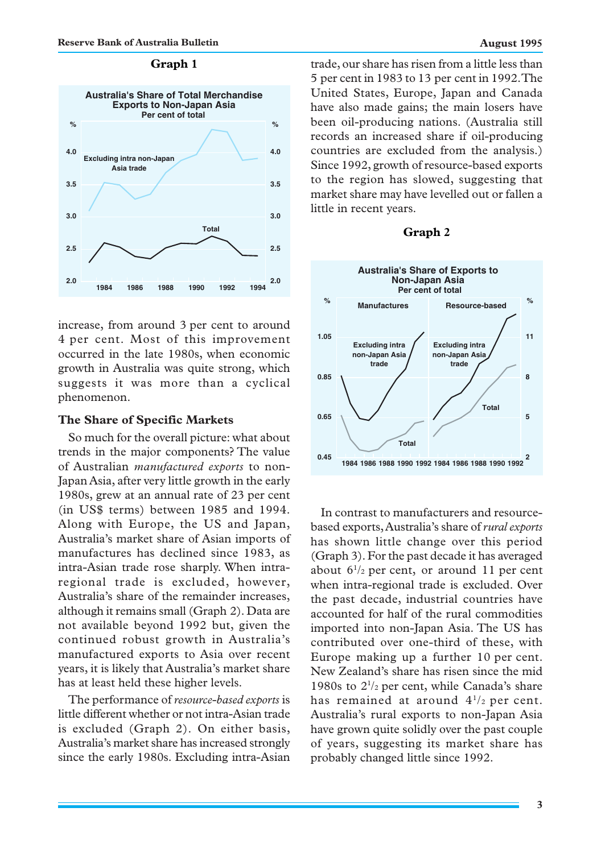#### **Graph 1**



increase, from around 3 per cent to around 4 per cent. Most of this improvement occurred in the late 1980s, when economic growth in Australia was quite strong, which suggests it was more than a cyclical phenomenon.

#### **The Share of Specific Markets**

So much for the overall picture: what about trends in the major components? The value of Australian *manufactured exports* to non-Japan Asia, after very little growth in the early 1980s, grew at an annual rate of 23 per cent (in US\$ terms) between 1985 and 1994. Along with Europe, the US and Japan, Australia's market share of Asian imports of manufactures has declined since 1983, as intra-Asian trade rose sharply. When intraregional trade is excluded, however, Australia's share of the remainder increases, although it remains small (Graph 2). Data are not available beyond 1992 but, given the continued robust growth in Australia's manufactured exports to Asia over recent years, it is likely that Australia's market share has at least held these higher levels.

The performance of *resource-based exports* is little different whether or not intra-Asian trade is excluded (Graph 2). On either basis, Australia's market share has increased strongly since the early 1980s. Excluding intra-Asian trade, our share has risen from a little less than 5 per cent in 1983 to 13 per cent in 1992. The United States, Europe, Japan and Canada have also made gains; the main losers have been oil-producing nations. (Australia still records an increased share if oil-producing countries are excluded from the analysis.) Since 1992, growth of resource-based exports to the region has slowed, suggesting that market share may have levelled out or fallen a little in recent years.

#### **Graph 2**



In contrast to manufacturers and resourcebased exports, Australia's share of *rural exports* has shown little change over this period (Graph 3). For the past decade it has averaged about  $6\frac{1}{2}$  per cent, or around 11 per cent when intra-regional trade is excluded. Over the past decade, industrial countries have accounted for half of the rural commodities imported into non-Japan Asia. The US has contributed over one-third of these, with Europe making up a further 10 per cent. New Zealand's share has risen since the mid 1980s to 21 /2 per cent, while Canada's share has remained at around  $4^{1/2}$  per cent. Australia's rural exports to non-Japan Asia have grown quite solidly over the past couple of years, suggesting its market share has probably changed little since 1992.